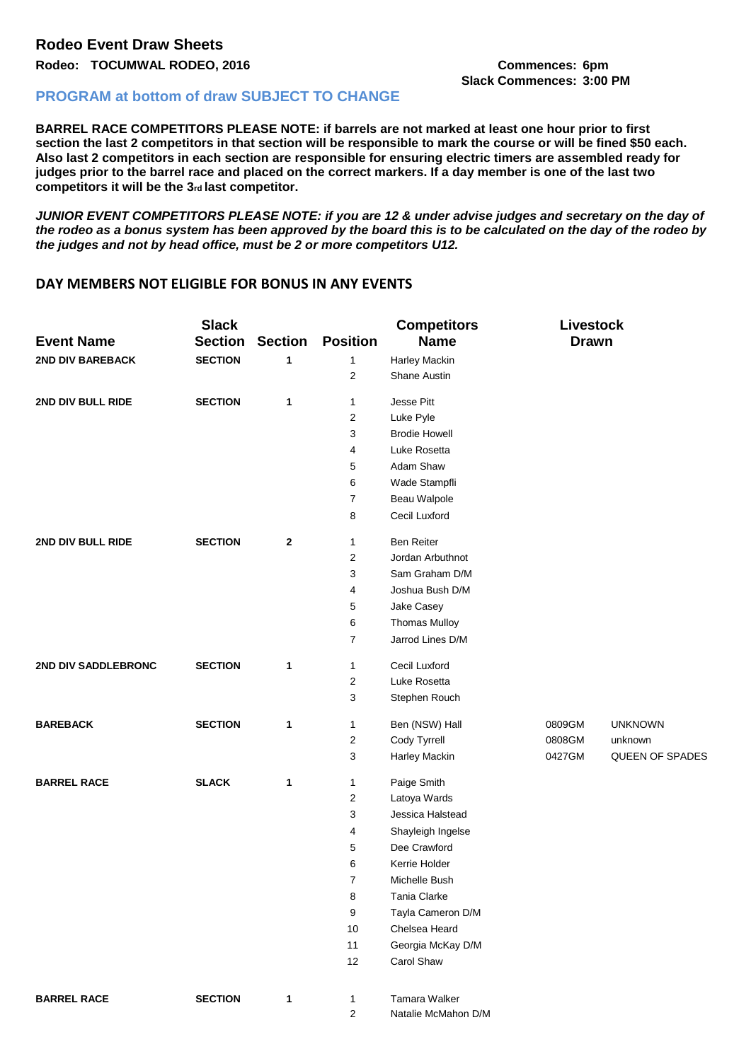## **Rodeo: TOCUMWAL RODEO, 2016 Commences: 6pm Slack Commences: 3:00 PM**

## **PROGRAM at bottom of draw SUBJECT TO CHANGE**

**BARREL RACE COMPETITORS PLEASE NOTE: if barrels are not marked at least one hour prior to first**  section the last 2 competitors in that section will be responsible to mark the course or will be fined \$50 each. **Also last 2 competitors in each section are responsible for ensuring electric timers are assembled ready for judges prior to the barrel race and placed on the correct markers. If a day member is one of the last two competitors it will be the 3rd last competitor.** 

*JUNIOR EVENT COMPETITORS PLEASE NOTE: if you are 12 & under advise judges and secretary on the day of the rodeo as a bonus system has been approved by the board this is to be calculated on the day of the rodeo by the judges and not by head office, must be 2 or more competitors U12.* 

## **DAY MEMBERS NOT ELIGIBLE FOR BONUS IN ANY EVENTS**

| <b>Event Name</b>   | <b>Slack</b><br><b>Section</b> | <b>Section</b> | <b>Position</b>         | <b>Competitors</b><br><b>Name</b> | <b>Livestock</b><br><b>Drawn</b> |                 |
|---------------------|--------------------------------|----------------|-------------------------|-----------------------------------|----------------------------------|-----------------|
| 2ND DIV BAREBACK    | <b>SECTION</b>                 | 1              | 1                       | Harley Mackin                     |                                  |                 |
|                     |                                |                | $\overline{\mathbf{c}}$ | Shane Austin                      |                                  |                 |
| 2ND DIV BULL RIDE   | <b>SECTION</b>                 | 1              | $\mathbf{1}$            | Jesse Pitt                        |                                  |                 |
|                     |                                |                | $\overline{\mathbf{c}}$ | Luke Pyle                         |                                  |                 |
|                     |                                |                | 3                       | <b>Brodie Howell</b>              |                                  |                 |
|                     |                                |                | 4                       | Luke Rosetta                      |                                  |                 |
|                     |                                |                | 5                       | Adam Shaw                         |                                  |                 |
|                     |                                |                | 6                       | Wade Stampfli                     |                                  |                 |
|                     |                                |                | 7                       | Beau Walpole                      |                                  |                 |
|                     |                                |                | 8                       | Cecil Luxford                     |                                  |                 |
| 2ND DIV BULL RIDE   | <b>SECTION</b>                 | 2              | $\mathbf{1}$            | <b>Ben Reiter</b>                 |                                  |                 |
|                     |                                |                | $\overline{\mathbf{c}}$ | Jordan Arbuthnot                  |                                  |                 |
|                     |                                |                | 3                       | Sam Graham D/M                    |                                  |                 |
|                     |                                |                | 4                       | Joshua Bush D/M                   |                                  |                 |
|                     |                                |                | 5                       | Jake Casey                        |                                  |                 |
|                     |                                |                | 6                       | <b>Thomas Mulloy</b>              |                                  |                 |
|                     |                                |                | 7                       | Jarrod Lines D/M                  |                                  |                 |
| 2ND DIV SADDLEBRONC | <b>SECTION</b>                 | 1              | $\mathbf{1}$            | Cecil Luxford                     |                                  |                 |
|                     |                                |                | 2                       | Luke Rosetta                      |                                  |                 |
|                     |                                |                | 3                       | Stephen Rouch                     |                                  |                 |
| <b>BAREBACK</b>     | <b>SECTION</b>                 | 1              | 1                       | Ben (NSW) Hall                    | 0809GM                           | <b>UNKNOWN</b>  |
|                     |                                |                | 2                       | Cody Tyrrell                      | 0808GM                           | unknown         |
|                     |                                |                | 3                       | Harley Mackin                     | 0427GM                           | QUEEN OF SPADES |
| <b>BARREL RACE</b>  | <b>SLACK</b>                   | 1              | 1                       | Paige Smith                       |                                  |                 |
|                     |                                |                | $\overline{\mathbf{c}}$ | Latoya Wards                      |                                  |                 |
|                     |                                |                | 3                       | Jessica Halstead                  |                                  |                 |
|                     |                                |                | 4                       | Shayleigh Ingelse                 |                                  |                 |
|                     |                                |                | 5                       | Dee Crawford                      |                                  |                 |
|                     |                                |                | 6                       | Kerrie Holder                     |                                  |                 |
|                     |                                |                | 7                       | Michelle Bush                     |                                  |                 |
|                     |                                |                | 8                       | Tania Clarke                      |                                  |                 |
|                     |                                |                | 9                       | Tayla Cameron D/M                 |                                  |                 |
|                     |                                |                | 10                      | Chelsea Heard                     |                                  |                 |
|                     |                                |                | 11                      | Georgia McKay D/M                 |                                  |                 |
|                     |                                |                | 12                      | Carol Shaw                        |                                  |                 |
| <b>BARREL RACE</b>  | <b>SECTION</b>                 | 1              | $\mathbf{1}$            | Tamara Walker                     |                                  |                 |
|                     |                                |                | $\overline{2}$          | Natalie McMahon D/M               |                                  |                 |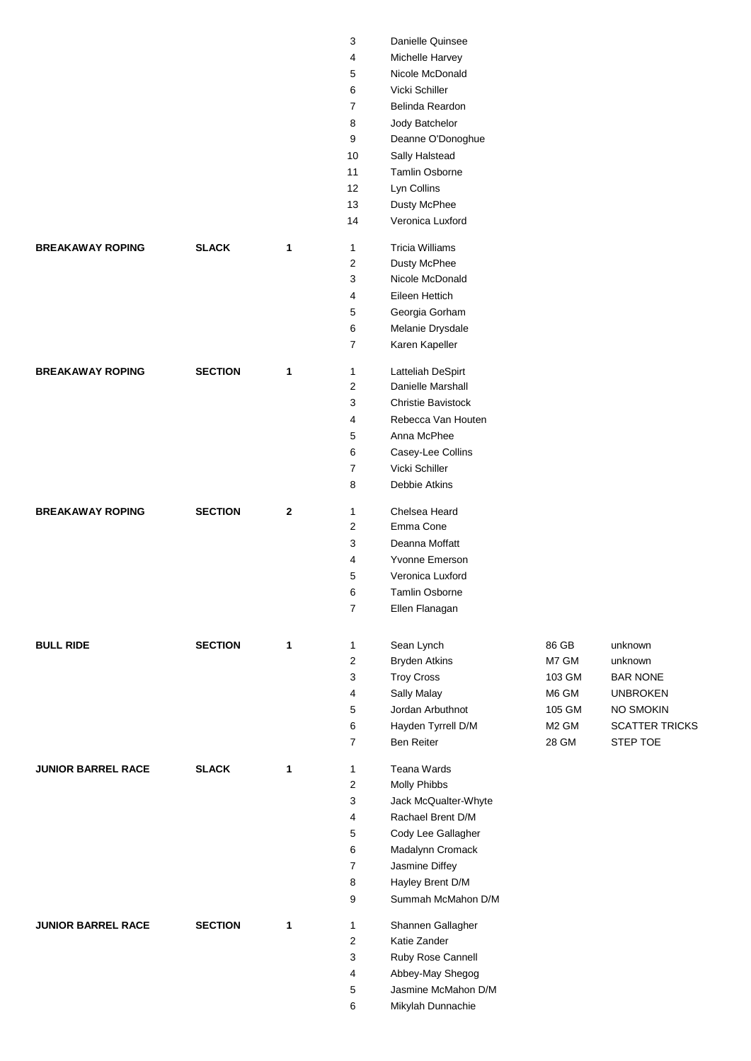|                           |                |              | 3              | Danielle Quinsee          |                   |                       |
|---------------------------|----------------|--------------|----------------|---------------------------|-------------------|-----------------------|
|                           |                |              | 4              | Michelle Harvey           |                   |                       |
|                           |                |              | 5              | Nicole McDonald           |                   |                       |
|                           |                |              | 6              | Vicki Schiller            |                   |                       |
|                           |                |              | $\overline{7}$ | Belinda Reardon           |                   |                       |
|                           |                |              | 8              | Jody Batchelor            |                   |                       |
|                           |                |              | 9              | Deanne O'Donoghue         |                   |                       |
|                           |                |              | 10             | Sally Halstead            |                   |                       |
|                           |                |              | 11             | <b>Tamlin Osborne</b>     |                   |                       |
|                           |                |              | 12             | Lyn Collins               |                   |                       |
|                           |                |              | 13             | Dusty McPhee              |                   |                       |
|                           |                |              | 14             | Veronica Luxford          |                   |                       |
| <b>BREAKAWAY ROPING</b>   | <b>SLACK</b>   | 1            | 1              | <b>Tricia Williams</b>    |                   |                       |
|                           |                |              | $\overline{2}$ | Dusty McPhee              |                   |                       |
|                           |                |              | 3              | Nicole McDonald           |                   |                       |
|                           |                |              | 4              | Eileen Hettich            |                   |                       |
|                           |                |              | 5              | Georgia Gorham            |                   |                       |
|                           |                |              | 6              | Melanie Drysdale          |                   |                       |
|                           |                |              | $\overline{7}$ | Karen Kapeller            |                   |                       |
|                           |                |              |                |                           |                   |                       |
| <b>BREAKAWAY ROPING</b>   | <b>SECTION</b> | 1            | 1              | Latteliah DeSpirt         |                   |                       |
|                           |                |              | 2              | Danielle Marshall         |                   |                       |
|                           |                |              | 3              | <b>Christie Bavistock</b> |                   |                       |
|                           |                |              | 4              | Rebecca Van Houten        |                   |                       |
|                           |                |              | 5              | Anna McPhee               |                   |                       |
|                           |                |              | 6              | Casey-Lee Collins         |                   |                       |
|                           |                |              | $\overline{7}$ | Vicki Schiller            |                   |                       |
|                           |                |              | 8              | Debbie Atkins             |                   |                       |
| <b>BREAKAWAY ROPING</b>   | <b>SECTION</b> | $\mathbf{2}$ | 1              | Chelsea Heard             |                   |                       |
|                           |                |              | 2              | Emma Cone                 |                   |                       |
|                           |                |              | 3              | Deanna Moffatt            |                   |                       |
|                           |                |              | 4              | Yvonne Emerson            |                   |                       |
|                           |                |              | 5              | Veronica Luxford          |                   |                       |
|                           |                |              | $\,6\,$        | Tamlin Osborne            |                   |                       |
|                           |                |              | $\overline{7}$ | Ellen Flanagan            |                   |                       |
|                           |                |              |                |                           |                   |                       |
| <b>BULL RIDE</b>          | <b>SECTION</b> | $\mathbf 1$  | 1              | Sean Lynch                | 86 GB             | unknown               |
|                           |                |              | $\overline{c}$ | <b>Bryden Atkins</b>      | M7 GM             | unknown               |
|                           |                |              | 3              | <b>Troy Cross</b>         | 103 GM            | <b>BAR NONE</b>       |
|                           |                |              | 4              | Sally Malay               | M6 GM             | <b>UNBROKEN</b>       |
|                           |                |              | 5              | Jordan Arbuthnot          | 105 GM            | NO SMOKIN             |
|                           |                |              | 6              | Hayden Tyrrell D/M        | M <sub>2</sub> GM | <b>SCATTER TRICKS</b> |
|                           |                |              | $\overline{7}$ | <b>Ben Reiter</b>         | 28 GM             | STEP TOE              |
|                           |                |              |                |                           |                   |                       |
| <b>JUNIOR BARREL RACE</b> | <b>SLACK</b>   | 1            | 1              | <b>Teana Wards</b>        |                   |                       |
|                           |                |              | $\overline{2}$ | <b>Molly Phibbs</b>       |                   |                       |
|                           |                |              | 3              | Jack McQualter-Whyte      |                   |                       |
|                           |                |              | 4              | Rachael Brent D/M         |                   |                       |
|                           |                |              | 5              | Cody Lee Gallagher        |                   |                       |
|                           |                |              | 6              | Madalynn Cromack          |                   |                       |
|                           |                |              | $\overline{7}$ | Jasmine Diffey            |                   |                       |
|                           |                |              | 8              | Hayley Brent D/M          |                   |                       |
|                           |                |              | 9              | Summah McMahon D/M        |                   |                       |
| <b>JUNIOR BARREL RACE</b> | <b>SECTION</b> | 1            | 1              | Shannen Gallagher         |                   |                       |
|                           |                |              | 2              | Katie Zander              |                   |                       |
|                           |                |              | 3              | Ruby Rose Cannell         |                   |                       |
|                           |                |              | 4              | Abbey-May Shegog          |                   |                       |
|                           |                |              | 5              | Jasmine McMahon D/M       |                   |                       |
|                           |                |              | 6              | Mikylah Dunnachie         |                   |                       |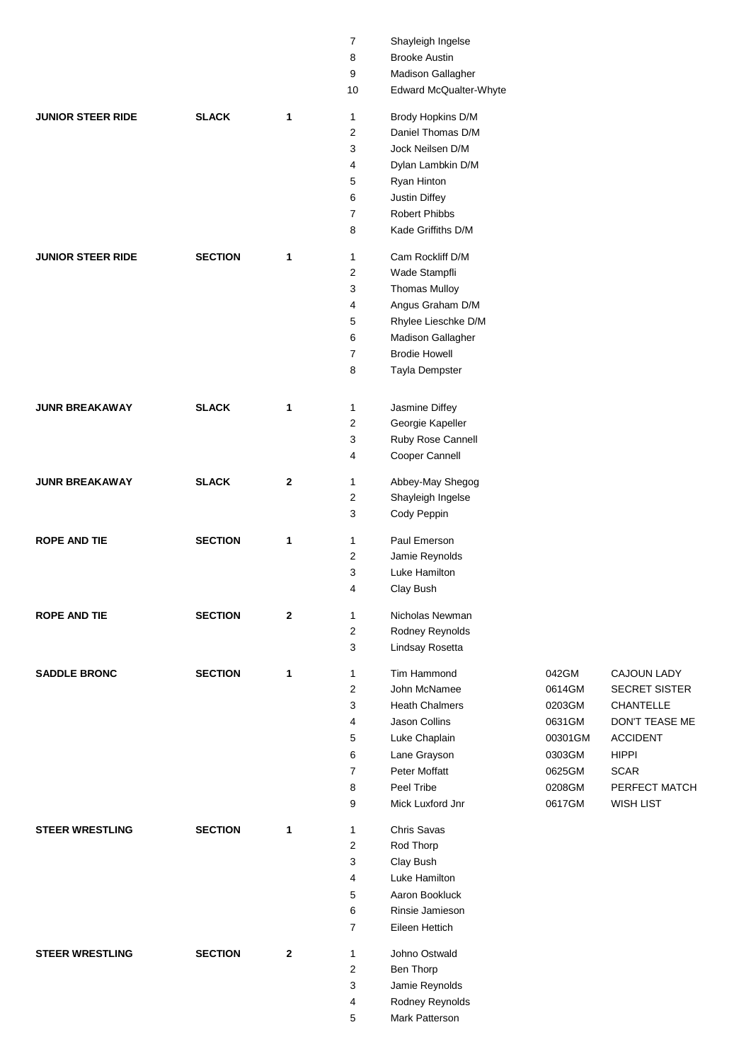|                          |                |              | $\overline{7}$ | Shayleigh Ingelse      |         |                      |
|--------------------------|----------------|--------------|----------------|------------------------|---------|----------------------|
|                          |                |              | 8              | <b>Brooke Austin</b>   |         |                      |
|                          |                |              | 9              | Madison Gallagher      |         |                      |
|                          |                |              | 10             | Edward McQualter-Whyte |         |                      |
|                          |                |              |                |                        |         |                      |
| <b>JUNIOR STEER RIDE</b> | <b>SLACK</b>   | 1            | 1              | Brody Hopkins D/M      |         |                      |
|                          |                |              | 2              | Daniel Thomas D/M      |         |                      |
|                          |                |              | 3              | Jock Neilsen D/M       |         |                      |
|                          |                |              | $\overline{4}$ | Dylan Lambkin D/M      |         |                      |
|                          |                |              | 5              | Ryan Hinton            |         |                      |
|                          |                |              | 6              | Justin Diffey          |         |                      |
|                          |                |              | 7              | Robert Phibbs          |         |                      |
|                          |                |              | 8              | Kade Griffiths D/M     |         |                      |
| <b>JUNIOR STEER RIDE</b> | <b>SECTION</b> | 1            | 1              | Cam Rockliff D/M       |         |                      |
|                          |                |              | 2              | Wade Stampfli          |         |                      |
|                          |                |              | 3              | <b>Thomas Mulloy</b>   |         |                      |
|                          |                |              | 4              | Angus Graham D/M       |         |                      |
|                          |                |              | 5              | Rhylee Lieschke D/M    |         |                      |
|                          |                |              |                |                        |         |                      |
|                          |                |              | 6              | Madison Gallagher      |         |                      |
|                          |                |              | 7              | <b>Brodie Howell</b>   |         |                      |
|                          |                |              | 8              | Tayla Dempster         |         |                      |
|                          |                |              |                |                        |         |                      |
| <b>JUNR BREAKAWAY</b>    | <b>SLACK</b>   | 1            | 1              | Jasmine Diffey         |         |                      |
|                          |                |              | 2              | Georgie Kapeller       |         |                      |
|                          |                |              | 3              | Ruby Rose Cannell      |         |                      |
|                          |                |              | 4              | Cooper Cannell         |         |                      |
| <b>JUNR BREAKAWAY</b>    | <b>SLACK</b>   | 2            | 1              | Abbey-May Shegog       |         |                      |
|                          |                |              | 2              | Shayleigh Ingelse      |         |                      |
|                          |                |              | 3              | Cody Peppin            |         |                      |
| <b>ROPE AND TIE</b>      | <b>SECTION</b> | 1            | 1              | Paul Emerson           |         |                      |
|                          |                |              | 2              | Jamie Reynolds         |         |                      |
|                          |                |              | 3              | Luke Hamilton          |         |                      |
|                          |                |              | 4              | Clay Bush              |         |                      |
|                          |                |              |                |                        |         |                      |
| <b>ROPE AND TIE</b>      | <b>SECTION</b> | $\mathbf{2}$ | 1              | Nicholas Newman        |         |                      |
|                          |                |              | 2              | Rodney Reynolds        |         |                      |
|                          |                |              | 3              | Lindsay Rosetta        |         |                      |
| <b>SADDLE BRONC</b>      | <b>SECTION</b> | 1            | 1              | Tim Hammond            | 042GM   | CAJOUN LADY          |
|                          |                |              | 2              | John McNamee           | 0614GM  | <b>SECRET SISTER</b> |
|                          |                |              | 3              | <b>Heath Chalmers</b>  | 0203GM  | CHANTELLE            |
|                          |                |              | 4              | Jason Collins          | 0631GM  | DON'T TEASE ME       |
|                          |                |              | 5              | Luke Chaplain          | 00301GM | <b>ACCIDENT</b>      |
|                          |                |              | 6              | Lane Grayson           | 0303GM  | <b>HIPPI</b>         |
|                          |                |              | 7              | Peter Moffatt          | 0625GM  | <b>SCAR</b>          |
|                          |                |              | 8              | Peel Tribe             | 0208GM  | PERFECT MATCH        |
|                          |                |              | 9              | Mick Luxford Jnr       | 0617GM  | <b>WISH LIST</b>     |
| <b>STEER WRESTLING</b>   | <b>SECTION</b> | 1            | 1              | Chris Savas            |         |                      |
|                          |                |              | $\overline{2}$ | Rod Thorp              |         |                      |
|                          |                |              |                |                        |         |                      |
|                          |                |              | 3              | Clay Bush              |         |                      |
|                          |                |              | 4              | Luke Hamilton          |         |                      |
|                          |                |              | 5              | Aaron Bookluck         |         |                      |
|                          |                |              | 6              | Rinsie Jamieson        |         |                      |
|                          |                |              | 7              | Eileen Hettich         |         |                      |
| <b>STEER WRESTLING</b>   | <b>SECTION</b> | $\mathbf{2}$ | 1              | Johno Ostwald          |         |                      |
|                          |                |              | 2              | Ben Thorp              |         |                      |
|                          |                |              | 3              | Jamie Reynolds         |         |                      |
|                          |                |              | 4              | Rodney Reynolds        |         |                      |
|                          |                |              | 5              | Mark Patterson         |         |                      |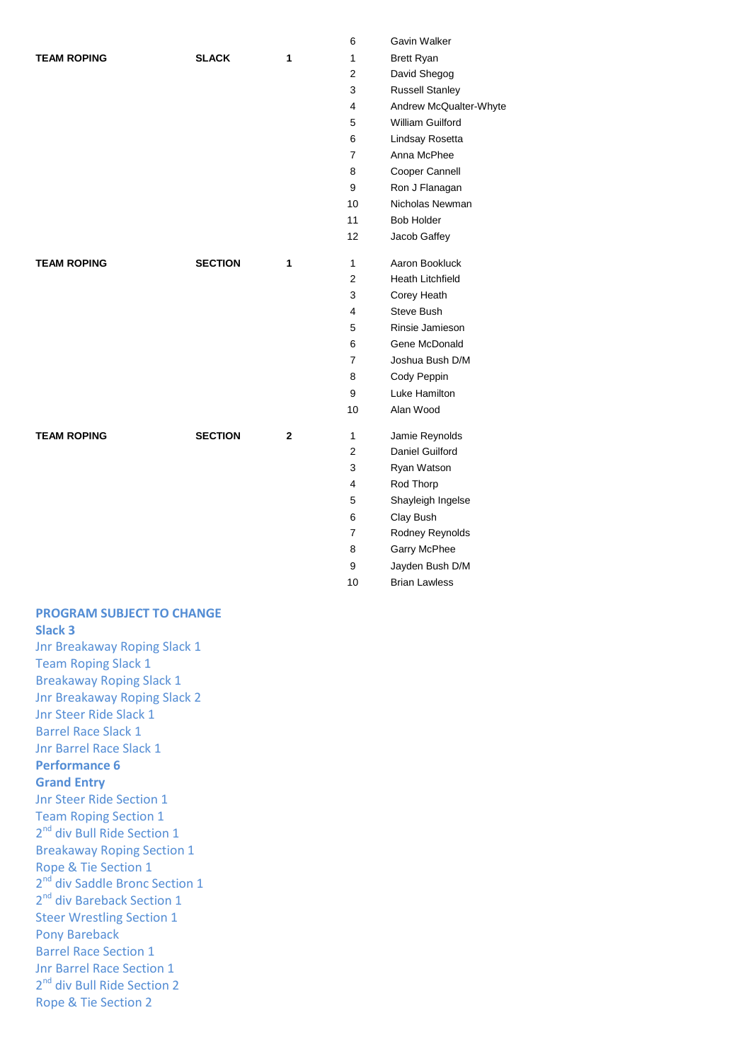|                    |                |              | 6              | Gavin Walker            |
|--------------------|----------------|--------------|----------------|-------------------------|
| <b>TEAM ROPING</b> | <b>SLACK</b>   | 1            | $\mathbf{1}$   | <b>Brett Ryan</b>       |
|                    |                |              | 2              | David Shegog            |
|                    |                |              | 3              | <b>Russell Stanley</b>  |
|                    |                |              | 4              | Andrew McQualt          |
|                    |                |              | 5              | William Guilford        |
|                    |                |              | 6              | Lindsay Rosetta         |
|                    |                |              | $\overline{7}$ | Anna McPhee             |
|                    |                |              | 8              | Cooper Cannell          |
|                    |                |              | 9              | Ron J Flanagan          |
|                    |                |              | 10             | Nicholas Newma          |
|                    |                |              | 11             | <b>Bob Holder</b>       |
|                    |                |              | 12             | Jacob Gaffey            |
| <b>TEAM ROPING</b> | <b>SECTION</b> | 1            | $\mathbf{1}$   | Aaron Bookluck          |
|                    |                |              | 2              | <b>Heath Litchfield</b> |
|                    |                |              | 3              | Corey Heath             |
|                    |                |              | 4              | Steve Bush              |
|                    |                |              | 5              | Rinsie Jamieson         |
|                    |                |              | 6              | Gene McDonald           |
|                    |                |              | $\overline{7}$ | Joshua Bush D/I         |
|                    |                |              | 8              | Cody Peppin             |
|                    |                |              | 9              | Luke Hamilton           |
|                    |                |              | 10             | Alan Wood               |
| <b>TEAM ROPING</b> | <b>SECTION</b> | $\mathbf{2}$ | 1              | Jamie Reynolds          |
|                    |                |              | $\overline{2}$ | Daniel Guilford         |
|                    |                |              | 3              | Ryan Watson             |
|                    |                |              | 4              | Rod Thorp               |

| 6                       | Gavin Walker            |
|-------------------------|-------------------------|
| 1                       | Brett Ryan              |
| $\overline{2}$          | David Shegog            |
| 3                       | <b>Russell Stanley</b>  |
| $\overline{4}$          | Andrew McQualter-Whyte  |
| 5                       | William Guilford        |
| 6                       | Lindsay Rosetta         |
| $\overline{7}$          | Anna McPhee             |
| 8                       | Cooper Cannell          |
| 9                       | Ron J Flanagan          |
| 10                      | Nicholas Newman         |
| 11                      | <b>Bob Holder</b>       |
| 12                      | Jacob Gaffey            |
| 1                       | Aaron Bookluck          |
| $\overline{c}$          | <b>Heath Litchfield</b> |
| 3                       | Corey Heath             |
| $\overline{4}$          | Steve Bush              |
| 5                       | Rinsie Jamieson         |
| 6                       | Gene McDonald           |
| 7                       | Joshua Bush D/M         |
| 8                       | Cody Peppin             |
| 9                       | Luke Hamilton           |
| 10                      | Alan Wood               |
| 1                       | Jamie Reynolds          |
| $\overline{2}$          | Daniel Guilford         |
| 3                       | Ryan Watson             |
| $\overline{\mathbf{4}}$ | Rod Thorp               |
| 5                       | Shayleigh Ingelse       |
| 6                       | Clay Bush               |
| $\overline{7}$          | Rodney Reynolds         |
| 8                       | Garry McPhee            |
| 9                       | Jayden Bush D/M         |
| 10                      | <b>Brian Lawless</b>    |

## **PROGRAM SUBJECT TO CHANGE Slack 3**

Jnr Breakaway Roping Slack 1 Team Roping Slack 1 Breakaway Roping Slack 1 Jnr Breakaway Roping Slack 2 Jnr Steer Ride Slack 1 Barrel Race Slack 1 Jnr Barrel Race Slack 1 **Performance 6 Grand Entry** Jnr Steer Ride Section 1 Team Roping Section 1 2<sup>nd</sup> div Bull Ride Section 1 Breakaway Roping Section 1 Rope & Tie Section 1 2<sup>nd</sup> div Saddle Bronc Section 1 2<sup>nd</sup> div Bareback Section 1 Steer Wrestling Section 1 Pony Bareback Barrel Race Section 1 Jnr Barrel Race Section 1 2<sup>nd</sup> div Bull Ride Section 2 Rope & Tie Section 2